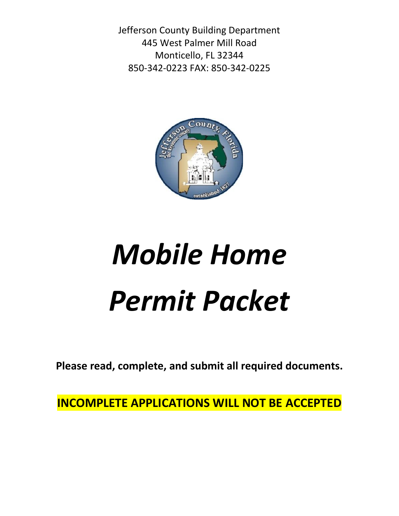Jefferson County Building Department 445 West Palmer Mill Road Monticello, FL 32344 850-342-0223 FAX: 850-342-0225



# *Mobile Home Permit Packet*

**Please read, complete, and submit all required documents.**

**INCOMPLETE APPLICATIONS WILL NOT BE ACCEPTED**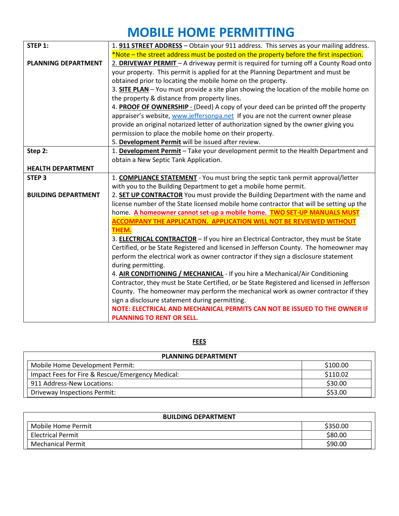# **MOBILE HOME PERMITTING**

| STEP 1:                    | 1. 911 STREET ADDRESS - Obtain your 911 address. This serves as your mailing address.         |  |  |
|----------------------------|-----------------------------------------------------------------------------------------------|--|--|
|                            | *Note – the street address must be posted on the property before the first inspection.        |  |  |
| <b>PLANNING DEPARTMENT</b> | 2. DRIVEWAY PERMIT - A driveway permit is required for turning off a County Road onto         |  |  |
|                            | your property. This permit is applied for at the Planning Department and must be              |  |  |
|                            | obtained prior to locating the mobile home on the property.                                   |  |  |
|                            | 3. <b>SITE PLAN</b> - You must provide a site plan showing the location of the mobile home on |  |  |
|                            | the property & distance from property lines.                                                  |  |  |
|                            | 4. PROOF OF OWNERSHIP - (Deed) A copy of your deed can be printed off the property            |  |  |
|                            | appraiser's website, www.jeffersonpa.net If you are not the current owner please              |  |  |
|                            | provide an original notarized letter of authorization signed by the owner giving you          |  |  |
|                            | permission to place the mobile home on their property.                                        |  |  |
|                            | 5. Development Permit will be issued after review.                                            |  |  |
| Step 2:                    | 1. Development Permit - Take your development permit to the Health Department and             |  |  |
|                            | obtain a New Septic Tank Application.                                                         |  |  |
| <b>HEALTH DEPARTMENT</b>   |                                                                                               |  |  |
| STEP <sub>3</sub>          | 1. <b>COMPLIANCE STATEMENT</b> - You must bring the septic tank permit approval/letter        |  |  |
|                            | with you to the Building Department to get a mobile home permit.                              |  |  |
| <b>BUILDING DEPARTMENT</b> | 2. <b>SET UP CONTRACTOR</b> You must provide the Building Department with the name and        |  |  |
|                            | license number of the State licensed mobile home contractor that will be setting up the       |  |  |
|                            | home. A homeowner cannot set-up a mobile home. TWO SET-UP MANUALS MUST                        |  |  |
|                            | <b>ACCOMPANY THE APPLICATION. APPLICATION WILL NOT BE REVIEWED WITHOUT</b>                    |  |  |
|                            | THEM.                                                                                         |  |  |
|                            | 3. <b>ELECTRICAL CONTRACTOR</b> - If you hire an Electrical Contractor, they must be State    |  |  |
|                            | Certified, or be State Registered and licensed in Jefferson County. The homeowner may         |  |  |
|                            | perform the electrical work as owner contractor if they sign a disclosure statement           |  |  |
|                            | during permitting.                                                                            |  |  |
|                            | 4. AIR CONDITIONING / MECHANICAL - If you hire a Mechanical/Air Conditioning                  |  |  |
|                            | Contractor, they must be State Certified, or be State Registered and licensed in Jefferson    |  |  |
|                            | County. The homeowner may perform the mechanical work as owner contractor if they             |  |  |
|                            | sign a disclosure statement during permitting.                                                |  |  |
|                            | NOTE: ELECTRICAL AND MECHANICAL PERMITS CAN NOT BE ISSUED TO THE OWNER IF                     |  |  |
|                            | <b>PLANNING TO RENT OR SELL.</b>                                                              |  |  |

## **FEES**

| <b>PLANNING DEPARTMENT</b>                       |          |  |  |
|--------------------------------------------------|----------|--|--|
| Mobile Home Development Permit:                  | \$100.00 |  |  |
| Impact Fees for Fire & Rescue/Emergency Medical: | \$110.02 |  |  |
| 911 Address-New Locations:                       | \$30.00  |  |  |
| <b>Driveway Inspections Permit:</b>              | \$53.00  |  |  |

| <b>BUILDING DEPARTMENT</b> |          |
|----------------------------|----------|
| Mobile Home Permit         | \$350.00 |
| <b>Electrical Permit</b>   | \$80.00  |
| <b>Mechanical Permit</b>   | \$90.00  |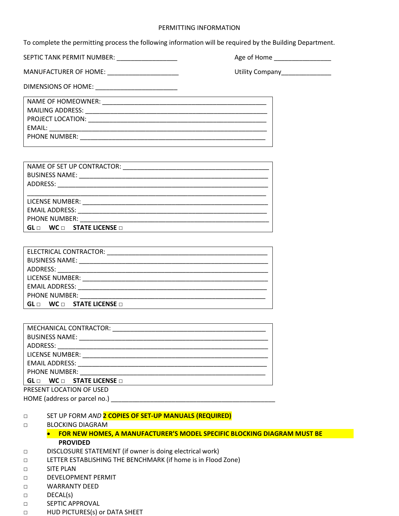#### PERMITTING INFORMATION

To complete the permitting process the following information will be required by the Building Department.

SEPTIC TANK PERMIT NUMBER: \_\_\_\_\_\_\_\_\_\_\_\_\_\_\_\_\_ Age of Home \_\_\_\_\_\_\_\_\_\_\_\_\_\_\_\_

MANUFACTURER OF HOME: \_\_\_\_\_\_\_\_\_\_\_\_\_\_\_\_\_\_\_\_ Utility Company\_\_\_\_\_\_\_\_\_\_\_\_\_\_

DIMENSIONS OF HOME: \_\_\_\_\_\_\_\_\_\_\_\_\_\_\_\_\_\_\_\_\_\_\_

| NAME OF HOMEOWNER:   |
|----------------------|
| MAILING ADDRESS:     |
| PROJECT LOCATION:    |
| EMAIL:               |
| <b>PHONE NUMBER:</b> |
|                      |

| <b>BUSINESS NAME:</b>                         |  |  |
|-----------------------------------------------|--|--|
| ADDRESS:                                      |  |  |
|                                               |  |  |
| LICENSE NUMBER:                               |  |  |
| <b>EMAIL ADDRESS:</b>                         |  |  |
| <b>PHONE NUMBER:</b>                          |  |  |
| $WC \Box$ STATE LICENSE $\Box$<br>$GL \sqcap$ |  |  |

| <b>PHONE NUMBER:</b> The contract of the contract of the contract of the contract of the contract of the contract of the contract of the contract of the contract of the contract of the contract of the contract of the contract o |
|-------------------------------------------------------------------------------------------------------------------------------------------------------------------------------------------------------------------------------------|
| $\, \overline{\,}$ GL $\scriptstyle\Box\,$ WC $\scriptstyle\Box\,}$ STATE LICENSE $\scriptstyle\Box\,$                                                                                                                              |
| PRESENT LOCATION OF USED                                                                                                                                                                                                            |
| HOME (address or parcel no.)                                                                                                                                                                                                        |

#### □ SET UP FORM *AND* **2 COPIES OF SET-UP MANUALS (REQUIRED)**

#### □ BLOCKING DIAGRAM

- **FOR NEW HOMES, A MANUFACTURER'S MODEL SPECIFIC BLOCKING DIAGRAM MUST BE PROVIDED**
- □ DISCLOSURE STATEMENT (if owner is doing electrical work)
- □ LETTER ESTABLISHING THE BENCHMARK (if home is in Flood Zone)
- □ SITE PLAN
- □ DEVELOPMENT PERMIT
- □ WARRANTY DEED
- □ DECAL(s)
- □ SEPTIC APPROVAL
- □ HUD PICTURES(s) or DATA SHEET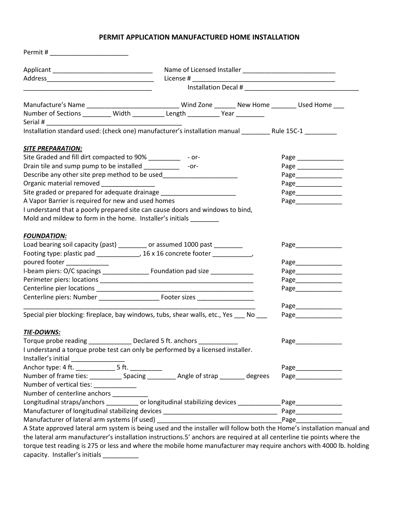## **PERMIT APPLICATION MANUFACTURED HOME INSTALLATION**

| Manufacture's Name ________________________________Wind Zone ________ New Home ________ Used Home ___                                                                                                                                          |        |                     |
|------------------------------------------------------------------------------------------------------------------------------------------------------------------------------------------------------------------------------------------------|--------|---------------------|
| Number of Sections _________ Width __________ Length __________ Year _________                                                                                                                                                                 |        |                     |
| Serial #                                                                                                                                                                                                                                       |        |                     |
| Installation standard used: (check one) manufacturer's installation manual ___________________________________                                                                                                                                 |        |                     |
| <b>SITE PREPARATION:</b>                                                                                                                                                                                                                       |        |                     |
| Site Graded and fill dirt compacted to 90% ____________ - or-                                                                                                                                                                                  |        |                     |
| Drain tile and sump pump to be installed __________                                                                                                                                                                                            | $-0r-$ | Page ______________ |
| Describe any other site prep method to be used__________________________________                                                                                                                                                               |        | Page_____________   |
| Organic material removed _______________                                                                                                                                                                                                       |        | Page_____________   |
| Site graded or prepared for adequate drainage __________________________________                                                                                                                                                               |        | Page_____________   |
| A Vapor Barrier is required for new and used homes                                                                                                                                                                                             |        | Page_____________   |
| I understand that a poorly prepared site can cause doors and windows to bind,                                                                                                                                                                  |        |                     |
| Mold and mildew to form in the home. Installer's initials                                                                                                                                                                                      |        |                     |
| <b>FOUNDATION:</b>                                                                                                                                                                                                                             |        |                     |
| Load bearing soil capacity (past) ________ or assumed 1000 past ________                                                                                                                                                                       |        |                     |
| Footing type: plastic pad _______________, 16 x 16 concrete footer ____________,                                                                                                                                                               |        |                     |
| poured footer _____________                                                                                                                                                                                                                    |        |                     |
| I-beam piers: O/C spacings ___________________ Foundation pad size _____________                                                                                                                                                               |        | Page______________  |
|                                                                                                                                                                                                                                                |        | Page_____________   |
|                                                                                                                                                                                                                                                |        | Page_______________ |
|                                                                                                                                                                                                                                                |        |                     |
|                                                                                                                                                                                                                                                |        | Page <b>Page</b>    |
| Special pier blocking: fireplace, bay windows, tubs, shear walls, etc., Yes ____ No                                                                                                                                                            |        | Page______________  |
| <b>TIE-DOWNS:</b>                                                                                                                                                                                                                              |        |                     |
| Torque probe reading _____________ Declared 5 ft. anchors _                                                                                                                                                                                    |        | Page_               |
| I understand a torque probe test can only be performed by a licensed installer.                                                                                                                                                                |        |                     |
|                                                                                                                                                                                                                                                |        |                     |
|                                                                                                                                                                                                                                                |        | Page_____________   |
|                                                                                                                                                                                                                                                |        |                     |
| Number of vertical ties: _____________                                                                                                                                                                                                         |        |                     |
| Number of centerline anchors __________                                                                                                                                                                                                        |        |                     |
| Longitudinal straps/anchors ___________ or longitudinal stabilizing devices _____________Page_____________                                                                                                                                     |        |                     |
|                                                                                                                                                                                                                                                |        |                     |
|                                                                                                                                                                                                                                                |        |                     |
| A State approved lateral arm system is being used and the installer will follow both the Home's installation manual and                                                                                                                        |        |                     |
| the lateral arm manufacturer's installation instructions.5' anchors are required at all centerline tie points where the<br>torque test reading is 275 or less and where the mobile home manufacturer may require anchors with 4000 lb. holding |        |                     |
|                                                                                                                                                                                                                                                |        |                     |
| capacity. Installer's initials ____________                                                                                                                                                                                                    |        |                     |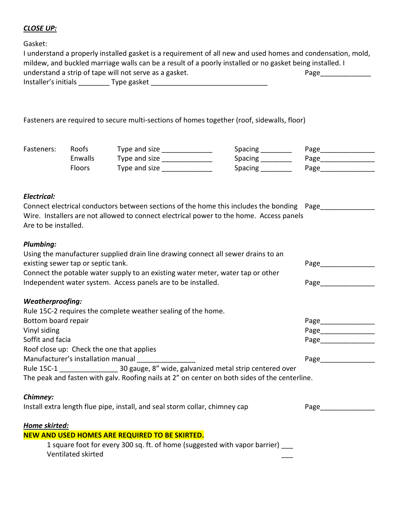# *CLOSE UP:*

Gasket:

| I understand a properly installed gasket is a requirement of all new and used homes and condensation, mold, |             |      |  |
|-------------------------------------------------------------------------------------------------------------|-------------|------|--|
| mildew, and buckled marriage walls can be a result of a poorly installed or no gasket being installed. I    |             |      |  |
| understand a strip of tape will not serve as a gasket.                                                      |             | Page |  |
| Installer's initials                                                                                        | Type gasket |      |  |

Fasteners are required to secure multi-sections of homes together (roof, sidewalls, floor)

| Fasteners: | Roofs   | Type and size | Spacing        | Page |
|------------|---------|---------------|----------------|------|
|            | Enwalls | Type and size | Spacing        | Page |
|            | Floors  | Type and size | <b>Spacing</b> | Page |

### *Electrical:*

| Connect electrical conductors between sections of the home this includes the bonding Page |  |
|-------------------------------------------------------------------------------------------|--|
| Wire. Installers are not allowed to connect electrical power to the home. Access panels   |  |
| Are to be installed.                                                                      |  |

# *Plumbing:*

| Using the manufacturer supplied drain line drawing connect all sewer drains to an             |                                                                                                               |  |
|-----------------------------------------------------------------------------------------------|---------------------------------------------------------------------------------------------------------------|--|
| existing sewer tap or septic tank.                                                            | Page                                                                                                          |  |
| Connect the potable water supply to an existing water meter, water tap or other               |                                                                                                               |  |
| Independent water system. Access panels are to be installed.                                  | Page                                                                                                          |  |
| <b>Weatherproofing:</b>                                                                       |                                                                                                               |  |
| Rule 15C-2 requires the complete weather sealing of the home.                                 |                                                                                                               |  |
| Bottom board repair                                                                           | Page___________                                                                                               |  |
| Vinyl siding                                                                                  | Page and the state of the state of the state of the state of the state of the state of the state of the state |  |
| Soffit and facia                                                                              | Page                                                                                                          |  |
| Roof close up: Check the one that applies                                                     |                                                                                                               |  |
| Manufacturer's installation manual                                                            | Page                                                                                                          |  |
|                                                                                               |                                                                                                               |  |
| The peak and fasten with galv. Roofing nails at 2" on center on both sides of the centerline. |                                                                                                               |  |
| Chimney:                                                                                      |                                                                                                               |  |
| Install extra length flue pipe, install, and seal storm collar, chimney cap                   | Page                                                                                                          |  |
| Home skirted:                                                                                 |                                                                                                               |  |
| NEW AND USED HOMES ARE REQUIRED TO BE SKIRTED.                                                |                                                                                                               |  |
| 1 cause foot far over 200 can ft of home levesected with vanar harrier)                       |                                                                                                               |  |

1 square foot for every 300 sq. ft. of home (suggested with vapor barrier) \_\_\_ Ventilated skirted \_\_\_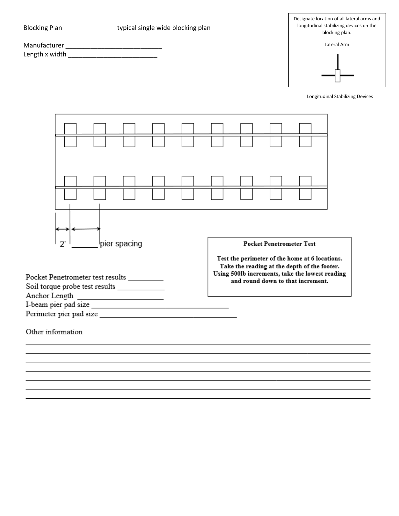| <b>Blocking Plan</b>                                                                                        | typical single wide blocking plan |  |                                                                                                                                                                                        | Designate location of all lateral arms and<br>longitudinal stabilizing devices on the<br>blocking plan. |                                  |  |
|-------------------------------------------------------------------------------------------------------------|-----------------------------------|--|----------------------------------------------------------------------------------------------------------------------------------------------------------------------------------------|---------------------------------------------------------------------------------------------------------|----------------------------------|--|
|                                                                                                             |                                   |  |                                                                                                                                                                                        |                                                                                                         | Lateral Arm                      |  |
| Length x width _______________________________                                                              |                                   |  |                                                                                                                                                                                        |                                                                                                         |                                  |  |
|                                                                                                             |                                   |  |                                                                                                                                                                                        |                                                                                                         | Longitudinal Stabilizing Devices |  |
|                                                                                                             |                                   |  |                                                                                                                                                                                        |                                                                                                         |                                  |  |
|                                                                                                             |                                   |  |                                                                                                                                                                                        |                                                                                                         |                                  |  |
| $2^{\prime}$                                                                                                | pier spacing                      |  |                                                                                                                                                                                        | <b>Pocket Penetrometer Test</b>                                                                         |                                  |  |
| Pocket Penetrometer test results _________<br>Soil torque probe test results _____________<br>Anchor Length |                                   |  | Test the perimeter of the home at 6 locations.<br>Take the reading at the depth of the footer.<br>Using 500lb increments, take the lowest reading<br>and round down to that increment. |                                                                                                         |                                  |  |
| I-beam pier pad size                                                                                        |                                   |  |                                                                                                                                                                                        |                                                                                                         |                                  |  |
| Other information                                                                                           |                                   |  |                                                                                                                                                                                        |                                                                                                         |                                  |  |
|                                                                                                             |                                   |  |                                                                                                                                                                                        |                                                                                                         |                                  |  |
|                                                                                                             |                                   |  |                                                                                                                                                                                        |                                                                                                         |                                  |  |
|                                                                                                             |                                   |  |                                                                                                                                                                                        |                                                                                                         |                                  |  |

| Manufacturer   |  |
|----------------|--|
| Length x width |  |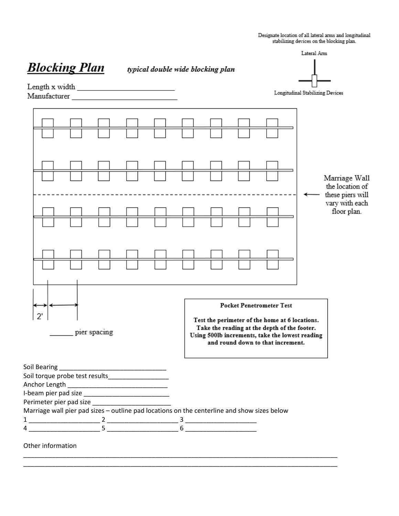|                                                                                                                                                                                                                               | Designate location of all lateral arms and longitudinal<br>stabilizing devices on the blocking plan. |  |                                                                                                                                                                                                                           |                                                                                       |  |  |
|-------------------------------------------------------------------------------------------------------------------------------------------------------------------------------------------------------------------------------|------------------------------------------------------------------------------------------------------|--|---------------------------------------------------------------------------------------------------------------------------------------------------------------------------------------------------------------------------|---------------------------------------------------------------------------------------|--|--|
| <b>Blocking Plan</b>                                                                                                                                                                                                          | typical double wide blocking plan                                                                    |  |                                                                                                                                                                                                                           | Lateral Arm                                                                           |  |  |
| Manufacturer and the state of the state of the state of the state of the state of the state of the state of the state of the state of the state of the state of the state of the state of the state of the state of the state |                                                                                                      |  |                                                                                                                                                                                                                           | Longitudinal Stabilizing Devices                                                      |  |  |
|                                                                                                                                                                                                                               |                                                                                                      |  |                                                                                                                                                                                                                           | Marriage Wall<br>the location of<br>these piers will<br>vary with each<br>floor plan. |  |  |
| pier spacing<br>Anchor Length __________________________________<br>Marriage wall pier pad sizes - outline pad locations on the centerline and show sizes below                                                               |                                                                                                      |  | <b>Pocket Penetrometer Test</b><br>Test the perimeter of the home at 6 locations.<br>Take the reading at the depth of the footer.<br>Using 500lb increments, take the lowest reading<br>and round down to that increment. |                                                                                       |  |  |
|                                                                                                                                                                                                                               |                                                                                                      |  |                                                                                                                                                                                                                           |                                                                                       |  |  |
| Other information                                                                                                                                                                                                             |                                                                                                      |  |                                                                                                                                                                                                                           |                                                                                       |  |  |

\_\_\_\_\_\_\_\_\_\_\_\_\_\_\_\_\_\_\_\_\_\_\_\_\_\_\_\_\_\_\_\_\_\_\_\_\_\_\_\_\_\_\_\_\_\_\_\_\_\_\_\_\_\_\_\_\_\_\_\_\_\_\_\_\_\_\_\_\_\_\_\_\_\_\_\_\_\_\_\_\_\_\_\_\_\_\_\_ \_\_\_\_\_\_\_\_\_\_\_\_\_\_\_\_\_\_\_\_\_\_\_\_\_\_\_\_\_\_\_\_\_\_\_\_\_\_\_\_\_\_\_\_\_\_\_\_\_\_\_\_\_\_\_\_\_\_\_\_\_\_\_\_\_\_\_\_\_\_\_\_\_\_\_\_\_\_\_\_\_\_\_\_\_\_\_\_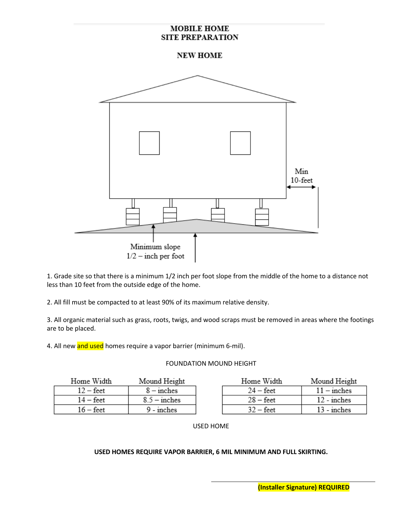## **MOBILE HOME SITE PREPARATION**

**NEW HOME** 



1. Grade site so that there is a minimum 1/2 inch per foot slope from the middle of the home to a distance not less than 10 feet from the outside edge of the home.

2. All fill must be compacted to at least 90% of its maximum relative density.

3. All organic material such as grass, roots, twigs, and wood scraps must be removed in areas where the footings are to be placed.

4. All new and used homes require a vapor barrier (minimum 6-mil).

#### FOUNDATION MOUND HEIGHT

| Home Width         | Mound Height   | Home Width         | Mound Height  |
|--------------------|----------------|--------------------|---------------|
| $12 - \text{feet}$ | $8 -$ inches   | $24 - \text{feet}$ | $11$ – inches |
| $14 - \text{feet}$ | $8.5$ – inches | $28 - feet$        | $12$ - inches |
| $16 - \text{feet}$ | $9 - inches$   | $32 - \text{feet}$ | $13$ - inches |

USED HOME

#### **USED HOMES REQUIRE VAPOR BARRIER, 6 MIL MINIMUM AND FULL SKIRTING.**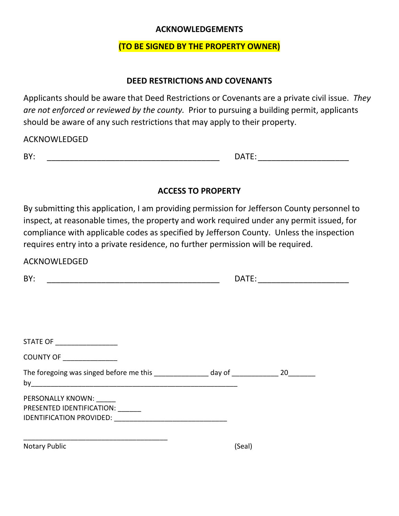# **ACKNOWLEDGEMENTS**

# **(TO BE SIGNED BY THE PROPERTY OWNER)**

# **DEED RESTRICTIONS AND COVENANTS**

Applicants should be aware that Deed Restrictions or Covenants are a private civil issue. *They are not enforced or reviewed by the county.* Prior to pursuing a building permit, applicants should be aware of any such restrictions that may apply to their property.

ACKNOWLEDGED

| ۰. |  |
|----|--|
|    |  |

BY: \_\_\_\_\_\_\_\_\_\_\_\_\_\_\_\_\_\_\_\_\_\_\_\_\_\_\_\_\_\_\_\_\_\_\_\_\_\_ DATE: \_\_\_\_\_\_\_\_\_\_\_\_\_\_\_\_\_\_\_\_

# **ACCESS TO PROPERTY**

By submitting this application, I am providing permission for Jefferson County personnel to inspect, at reasonable times, the property and work required under any permit issued, for compliance with applicable codes as specified by Jefferson County. Unless the inspection requires entry into a private residence, no further permission will be required.

| BY:                                                                                       | DATE:  |  |  |
|-------------------------------------------------------------------------------------------|--------|--|--|
|                                                                                           |        |  |  |
| STATE OF ___________________                                                              |        |  |  |
| COUNTY OF _______________                                                                 |        |  |  |
| The foregoing was singed before me this ________________ day of ______________ 20________ |        |  |  |
| PERSONALLY KNOWN: ______<br>PRESENTED IDENTIFICATION: ______                              |        |  |  |
| <b>Notary Public</b>                                                                      | (Seal) |  |  |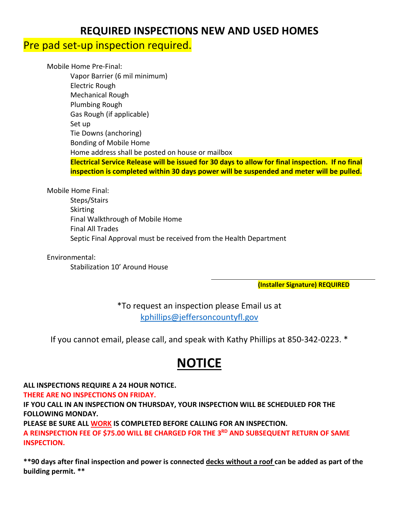# **REQUIRED INSPECTIONS NEW AND USED HOMES**

# Pre pad set-up inspection required.

Mobile Home Pre-Final: Vapor Barrier (6 mil minimum) Electric Rough Mechanical Rough Plumbing Rough Gas Rough (if applicable) Set up Tie Downs (anchoring) Bonding of Mobile Home Home address shall be posted on house or mailbox **Electrical Service Release will be issued for 30 days to allow for final inspection. If no final inspection is completed within 30 days power will be suspended and meter will be pulled.**

Mobile Home Final:

Steps/Stairs Skirting Final Walkthrough of Mobile Home Final All Trades Septic Final Approval must be received from the Health Department

Environmental:

Stabilization 10' Around House

**(Installer Signature) REQUIRED**

\*To request an inspection please Email us at [kphillips@jeffersoncountyfl.gov](mailto:kphillips@jeffersoncountyfl.gov)

If you cannot email, please call, and speak with Kathy Phillips at 850-342-0223. \*

# **NOTICE**

**ALL INSPECTIONS REQUIRE A 24 HOUR NOTICE.**

**THERE ARE NO INSPECTIONS ON FRIDAY.**

**IF YOU CALL IN AN INSPECTION ON THURSDAY, YOUR INSPECTION WILL BE SCHEDULED FOR THE FOLLOWING MONDAY.**

**PLEASE BE SURE ALL WORK IS COMPLETED BEFORE CALLING FOR AN INSPECTION.**

**A REINSPECTION FEE OF \$75.00 WILL BE CHARGED FOR THE 3RD AND SUBSEQUENT RETURN OF SAME INSPECTION.**

**\*\*90 days after final inspection and power is connected decks without a roof can be added as part of the building permit. \*\***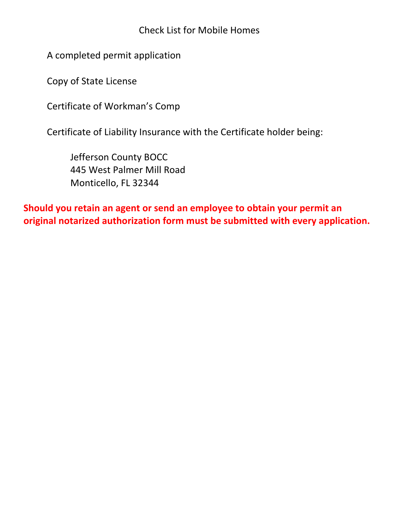Check List for Mobile Homes

A completed permit application

Copy of State License

Certificate of Workman's Comp

Certificate of Liability Insurance with the Certificate holder being:

Jefferson County BOCC 445 West Palmer Mill Road Monticello, FL 32344

**Should you retain an agent or send an employee to obtain your permit an original notarized authorization form must be submitted with every application.**